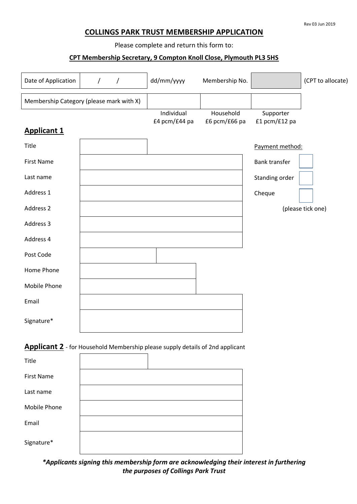#### Rev 03 Jun 2019

## **COLLINGS PARK TRUST MEMBERSHIP APPLICATION**

Please complete and return this form to:

#### **CPT Membership Secretary, 9 Compton Knoll Close, Plymouth PL3 5HS**

| Date of Application                                                           | $\prime$<br>$\prime$                     | dd/mm/yyyy                  | Membership No.             |                            | (CPT to allocate) |  |  |
|-------------------------------------------------------------------------------|------------------------------------------|-----------------------------|----------------------------|----------------------------|-------------------|--|--|
|                                                                               | Membership Category (please mark with X) |                             |                            |                            |                   |  |  |
|                                                                               |                                          | Individual<br>£4 pcm/£44 pa | Household<br>£6 pcm/£66 pa | Supporter<br>£1 pcm/£12 pa |                   |  |  |
| <b>Applicant 1</b>                                                            |                                          |                             |                            |                            |                   |  |  |
| Title                                                                         |                                          |                             |                            | Payment method:            |                   |  |  |
| <b>First Name</b>                                                             |                                          |                             |                            | <b>Bank transfer</b>       |                   |  |  |
| Last name                                                                     |                                          |                             |                            | Standing order             |                   |  |  |
| Address 1                                                                     |                                          |                             |                            | Cheque                     |                   |  |  |
| Address 2                                                                     |                                          |                             |                            |                            | (please tick one) |  |  |
| Address 3                                                                     |                                          |                             |                            |                            |                   |  |  |
| Address 4                                                                     |                                          |                             |                            |                            |                   |  |  |
| Post Code                                                                     |                                          |                             |                            |                            |                   |  |  |
| Home Phone                                                                    |                                          |                             |                            |                            |                   |  |  |
| Mobile Phone                                                                  |                                          |                             |                            |                            |                   |  |  |
| Email                                                                         |                                          |                             |                            |                            |                   |  |  |
| Signature*                                                                    |                                          |                             |                            |                            |                   |  |  |
| Applicant 2 - for Household Membership please supply details of 2nd applicant |                                          |                             |                            |                            |                   |  |  |
| Title                                                                         |                                          |                             |                            |                            |                   |  |  |
| <b>First Name</b>                                                             |                                          |                             |                            |                            |                   |  |  |
| Last name                                                                     |                                          |                             |                            |                            |                   |  |  |
| Mobile Phone                                                                  |                                          |                             |                            |                            |                   |  |  |
| Email                                                                         |                                          |                             |                            |                            |                   |  |  |
| Signature*                                                                    |                                          |                             |                            |                            |                   |  |  |

*\*Applicants signing this membership form are acknowledging their interest in furthering the purposes of Collings Park Trust*